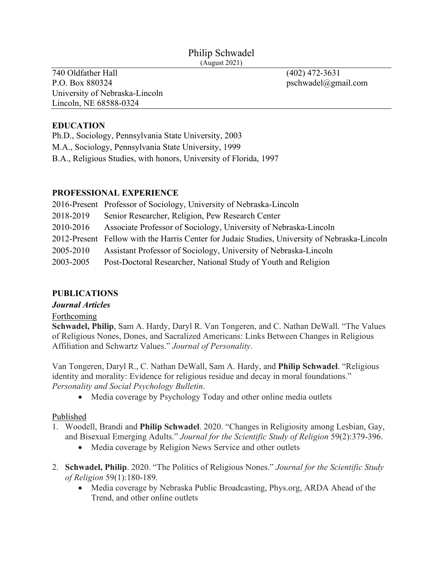#### Philip Schwadel (August 2021)

740 Oldfather Hall (402) 472-3631 P.O. Box 880324 pschwadel@gmail.com University of Nebraska-Lincoln Lincoln, NE 68588-0324

## **EDUCATION**

Ph.D., Sociology, Pennsylvania State University, 2003 M.A., Sociology, Pennsylvania State University, 1999 B.A., Religious Studies, with honors, University of Florida, 1997

### **PROFESSIONAL EXPERIENCE**

|           | 2016-Present Professor of Sociology, University of Nebraska-Lincoln                           |
|-----------|-----------------------------------------------------------------------------------------------|
| 2018-2019 | Senior Researcher, Religion, Pew Research Center                                              |
| 2010-2016 | Associate Professor of Sociology, University of Nebraska-Lincoln                              |
|           | 2012-Present Fellow with the Harris Center for Judaic Studies, University of Nebraska-Lincoln |
| 2005-2010 | Assistant Professor of Sociology, University of Nebraska-Lincoln                              |
| 2003-2005 | Post-Doctoral Researcher, National Study of Youth and Religion                                |

### **PUBLICATIONS**

#### *Journal Articles*

#### Forthcoming

**Schwadel, Philip**, Sam A. Hardy, Daryl R. Van Tongeren, and C. Nathan DeWall. "The Values of Religious Nones, Dones, and Sacralized Americans: Links Between Changes in Religious Affiliation and Schwartz Values." *Journal of Personality*.

Van Tongeren, Daryl R., C. Nathan DeWall, Sam A. Hardy, and **Philip Schwadel**. "Religious identity and morality: Evidence for religious residue and decay in moral foundations." *Personality and Social Psychology Bulletin*.

• Media coverage by Psychology Today and other online media outlets

### Published

- 1. Woodell, Brandi and **Philip Schwadel**. 2020. "Changes in Religiosity among Lesbian, Gay, and Bisexual Emerging Adults." *Journal for the Scientific Study of Religion* 59(2):379-396.
	- Media coverage by Religion News Service and other outlets
- 2. **Schwadel, Philip**. 2020. "The Politics of Religious Nones." *Journal for the Scientific Study of Religion* 59(1):180-189.
	- Media coverage by Nebraska Public Broadcasting, Phys.org, ARDA Ahead of the Trend, and other online outlets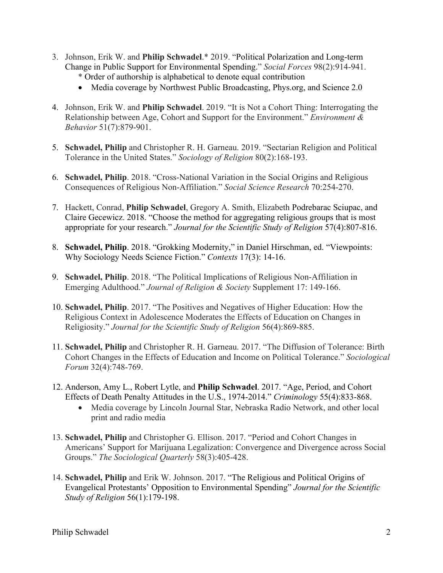- 3. Johnson, Erik W. and **Philip Schwadel**.\* 2019. "Political Polarization and Long-term Change in Public Support for Environmental Spending." *Social Forces* 98(2):914-941.
	- \* Order of authorship is alphabetical to denote equal contribution
	- Media coverage by Northwest Public Broadcasting, Phys.org, and Science 2.0
- 4. Johnson, Erik W. and **Philip Schwadel**. 2019. "It is Not a Cohort Thing: Interrogating the Relationship between Age, Cohort and Support for the Environment." *Environment & Behavior* 51(7):879-901.
- 5. **Schwadel, Philip** and Christopher R. H. Garneau. 2019. "Sectarian Religion and Political Tolerance in the United States." *Sociology of Religion* 80(2):168-193.
- 6. **Schwadel, Philip**. 2018. "Cross-National Variation in the Social Origins and Religious Consequences of Religious Non-Affiliation." *Social Science Research* 70:254-270.
- 7. Hackett, Conrad, **Philip Schwadel**, Gregory A. Smith, Elizabeth Podrebarac Sciupac, and Claire Gecewicz. 2018. "Choose the method for aggregating religious groups that is most appropriate for your research." *Journal for the Scientific Study of Religion* 57(4):807-816.
- 8. **Schwadel, Philip**. 2018. "Grokking Modernity," in Daniel Hirschman, ed. "Viewpoints: Why Sociology Needs Science Fiction." *Contexts* 17(3): 14-16.
- 9. **Schwadel, Philip**. 2018. "The Political Implications of Religious Non-Affiliation in Emerging Adulthood." *Journal of Religion & Society* Supplement 17: 149-166.
- 10. **Schwadel, Philip**. 2017. "The Positives and Negatives of Higher Education: How the Religious Context in Adolescence Moderates the Effects of Education on Changes in Religiosity." *Journal for the Scientific Study of Religion* 56(4):869-885.
- 11. **Schwadel, Philip** and Christopher R. H. Garneau. 2017. "The Diffusion of Tolerance: Birth Cohort Changes in the Effects of Education and Income on Political Tolerance." *Sociological Forum* 32(4):748-769.
- 12. Anderson, Amy L., Robert Lytle, and **Philip Schwadel**. 2017. "Age, Period, and Cohort Effects of Death Penalty Attitudes in the U.S., 1974-2014." *Criminology* 55(4):833-868.
	- Media coverage by Lincoln Journal Star, Nebraska Radio Network, and other local print and radio media
- 13. **Schwadel, Philip** and Christopher G. Ellison. 2017. "Period and Cohort Changes in Americans' Support for Marijuana Legalization: Convergence and Divergence across Social Groups." *The Sociological Quarterly* 58(3):405-428.
- 14. **Schwadel, Philip** and Erik W. Johnson. 2017. "The Religious and Political Origins of Evangelical Protestants' Opposition to Environmental Spending" *Journal for the Scientific Study of Religion* 56(1):179-198.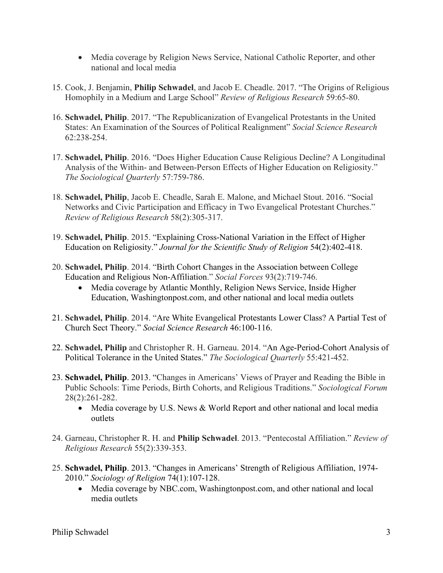- Media coverage by Religion News Service, National Catholic Reporter, and other national and local media
- 15. Cook, J. Benjamin, **Philip Schwadel**, and Jacob E. Cheadle. 2017. "The Origins of Religious Homophily in a Medium and Large School" *Review of Religious Research* 59:65-80.
- 16. **Schwadel, Philip**. 2017. "The Republicanization of Evangelical Protestants in the United States: An Examination of the Sources of Political Realignment" *Social Science Research* 62:238-254.
- 17. **Schwadel, Philip**. 2016. "Does Higher Education Cause Religious Decline? A Longitudinal Analysis of the Within- and Between-Person Effects of Higher Education on Religiosity." *The Sociological Quarterly* 57:759-786.
- 18. **Schwadel, Philip**, Jacob E. Cheadle, Sarah E. Malone, and Michael Stout. 2016. "Social Networks and Civic Participation and Efficacy in Two Evangelical Protestant Churches." *Review of Religious Research* 58(2):305-317.
- 19. **Schwadel, Philip**. 2015. "Explaining Cross-National Variation in the Effect of Higher Education on Religiosity." *Journal for the Scientific Study of Religion* 54(2):402-418.
- 20. **Schwadel, Philip**. 2014. "Birth Cohort Changes in the Association between College Education and Religious Non-Affiliation." *Social Forces* 93(2):719-746.
	- Media coverage by Atlantic Monthly, Religion News Service, Inside Higher Education, Washingtonpost.com, and other national and local media outlets
- 21. **Schwadel, Philip**. 2014. "Are White Evangelical Protestants Lower Class? A Partial Test of Church Sect Theory." *Social Science Research* 46:100-116.
- 22. **Schwadel, Philip** and Christopher R. H. Garneau. 2014. "An Age-Period-Cohort Analysis of Political Tolerance in the United States." *The Sociological Quarterly* 55:421-452.
- 23. **Schwadel, Philip**. 2013. "Changes in Americans' Views of Prayer and Reading the Bible in Public Schools: Time Periods, Birth Cohorts, and Religious Traditions." *Sociological Forum* 28(2):261-282.
	- Media coverage by U.S. News & World Report and other national and local media outlets
- 24. Garneau, Christopher R. H. and **Philip Schwadel**. 2013. "Pentecostal Affiliation." *Review of Religious Research* 55(2):339-353.
- 25. **Schwadel, Philip**. 2013. "Changes in Americans' Strength of Religious Affiliation, 1974- 2010." *Sociology of Religion* 74(1):107-128.
	- Media coverage by NBC.com, Washingtonpost.com, and other national and local media outlets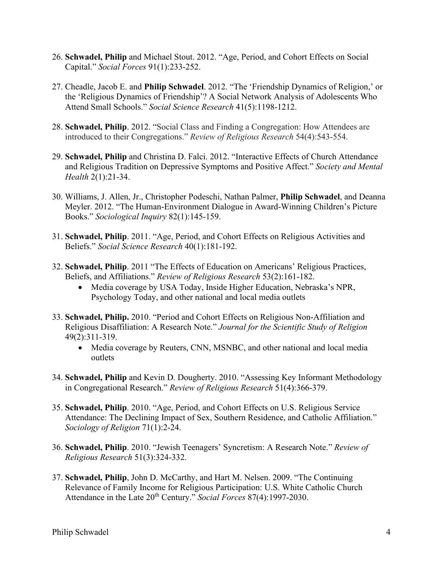- 26. **Schwadel, Philip** and Michael Stout. 2012. "Age, Period, and Cohort Effects on Social Capital." *Social Forces* 91(1):233-252.
- 27. Cheadle, Jacob E. and **Philip Schwadel**. 2012. "The 'Friendship Dynamics of Religion,' or the 'Religious Dynamics of Friendship'? A Social Network Analysis of Adolescents Who Attend Small Schools." *Social Science Research* 41(5):1198-1212.
- 28. **Schwadel, Philip**. 2012. "Social Class and Finding a Congregation: How Attendees are introduced to their Congregations." *Review of Religious Research* 54(4):543-554.
- 29. **Schwadel, Philip** and Christina D. Falci. 2012. "Interactive Effects of Church Attendance and Religious Tradition on Depressive Symptoms and Positive Affect." *Society and Mental Health* 2(1):21-34.
- 30. Williams, J. Allen, Jr., Christopher Podeschi, Nathan Palmer, **Philip Schwadel**, and Deanna Meyler. 2012. "The Human-Environment Dialogue in Award-Winning Children's Picture Books." *Sociological Inquiry* 82(1):145-159.
- 31. **Schwadel, Philip**. 2011. "Age, Period, and Cohort Effects on Religious Activities and Beliefs." *Social Science Research* 40(1):181-192.
- 32. **Schwadel, Philip**. 2011 "The Effects of Education on Americans' Religious Practices, Beliefs, and Affiliations." *Review of Religious Research* 53(2):161-182.
	- Media coverage by USA Today, Inside Higher Education, Nebraska's NPR, Psychology Today, and other national and local media outlets
- 33. **Schwadel, Philip.** 2010. "Period and Cohort Effects on Religious Non-Affiliation and Religious Disaffiliation: A Research Note." *Journal for the Scientific Study of Religion* 49(2):311-319.
	- Media coverage by Reuters, CNN, MSNBC, and other national and local media outlets
- 34. **Schwadel, Philip** and Kevin D. Dougherty. 2010. "Assessing Key Informant Methodology in Congregational Research." *Review of Religious Research* 51(4):366-379.
- 35. **Schwadel, Philip**. 2010. "Age, Period, and Cohort Effects on U.S. Religious Service Attendance: The Declining Impact of Sex, Southern Residence, and Catholic Affiliation." *Sociology of Religion* 71(1):2-24.
- 36. **Schwadel, Philip**. 2010. "Jewish Teenagers' Syncretism: A Research Note." *Review of Religious Research* 51(3):324-332.
- 37. **Schwadel, Philip**, John D. McCarthy, and Hart M. Nelsen. 2009. "The Continuing Relevance of Family Income for Religious Participation: U.S. White Catholic Church Attendance in the Late 20<sup>th</sup> Century." *Social Forces* 87(4):1997-2030.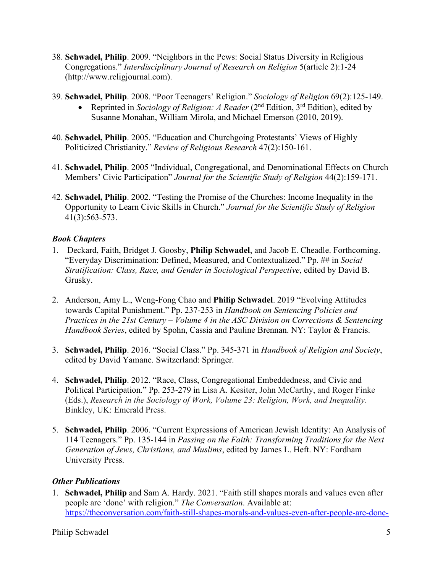- 38. **Schwadel, Philip**. 2009. "Neighbors in the Pews: Social Status Diversity in Religious Congregations." *Interdisciplinary Journal of Research on Religion* 5(article 2):1-24 (http://www.religjournal.com).
- 39. **Schwadel, Philip**. 2008. "Poor Teenagers' Religion." *Sociology of Religion* 69(2):125-149.
	- Reprinted in *Sociology of Religion: A Reader* (2<sup>nd</sup> Edition, 3<sup>rd</sup> Edition), edited by Susanne Monahan, William Mirola, and Michael Emerson (2010, 2019).
- 40. **Schwadel, Philip**. 2005. "Education and Churchgoing Protestants' Views of Highly Politicized Christianity." *Review of Religious Research* 47(2):150-161.
- 41. **Schwadel, Philip**. 2005 "Individual, Congregational, and Denominational Effects on Church Members' Civic Participation" *Journal for the Scientific Study of Religion* 44(2):159-171.
- 42. **Schwadel, Philip**. 2002. "Testing the Promise of the Churches: Income Inequality in the Opportunity to Learn Civic Skills in Church." *Journal for the Scientific Study of Religion* 41(3):563-573.

#### *Book Chapters*

- 1. Deckard, Faith, Bridget J. Goosby, **Philip Schwadel**, and Jacob E. Cheadle. Forthcoming. "Everyday Discrimination: Defined, Measured, and Contextualized." Pp. ## in *Social Stratification: Class, Race, and Gender in Sociological Perspective*, edited by David B. Grusky.
- 2. Anderson, Amy L., Weng-Fong Chao and **Philip Schwadel**. 2019 "Evolving Attitudes towards Capital Punishment." Pp. 237-253 in *Handbook on Sentencing Policies and Practices in the 21st Century – Volume 4 in the ASC Division on Corrections & Sentencing Handbook Series*, edited by Spohn, Cassia and Pauline Brennan. NY: Taylor & Francis.
- 3. **Schwadel, Philip**. 2016. "Social Class." Pp. 345-371 in *Handbook of Religion and Society*, edited by David Yamane. Switzerland: Springer.
- 4. **Schwadel, Philip**. 2012. "Race, Class, Congregational Embeddedness, and Civic and Political Participation." Pp. 253-279 in Lisa A. Kesiter, John McCarthy, and Roger Finke (Eds.), *Research in the Sociology of Work, Volume 23: Religion, Work, and Inequality*. Binkley, UK: Emerald Press.
- 5. **Schwadel, Philip**. 2006. "Current Expressions of American Jewish Identity: An Analysis of 114 Teenagers." Pp. 135-144 in *Passing on the Faith: Transforming Traditions for the Next Generation of Jews, Christians, and Muslims*, edited by James L. Heft. NY: Fordham University Press.

### *Other Publications*

1. **Schwadel, Philip** and Sam A. Hardy. 2021. "Faith still shapes morals and values even after people are 'done' with religion." *The Conversation*. Available at: [https://theconversation.com/faith-still-shapes-morals-and-values-even-after-people-are-done-](https://theconversation.com/faith-still-shapes-morals-and-values-even-after-people-are-done-with-religion-160328)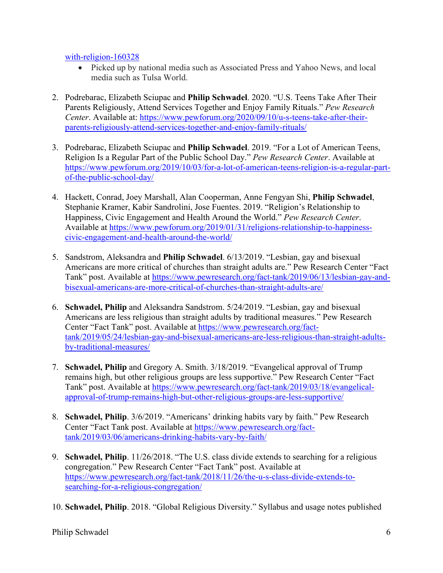[with-religion-160328](https://theconversation.com/faith-still-shapes-morals-and-values-even-after-people-are-done-with-religion-160328)

- Picked up by national media such as Associated Press and Yahoo News, and local media such as Tulsa World.
- 2. Podrebarac, Elizabeth Sciupac and **Philip Schwadel**. 2020. "U.S. Teens Take After Their Parents Religiously, Attend Services Together and Enjoy Family Rituals." *Pew Research Center*. Available at: [https://www.pewforum.org/2020/09/10/u-s-teens-take-after-their](https://www.pewforum.org/2020/09/10/u-s-teens-take-after-their-parents-religiously-attend-services-together-and-enjoy-family-rituals/)[parents-religiously-attend-services-together-and-enjoy-family-rituals/](https://www.pewforum.org/2020/09/10/u-s-teens-take-after-their-parents-religiously-attend-services-together-and-enjoy-family-rituals/)
- 3. Podrebarac, Elizabeth Sciupac and **Philip Schwadel**. 2019. "For a Lot of American Teens, Religion Is a Regular Part of the Public School Day." *Pew Research Center*. Available at [https://www.pewforum.org/2019/10/03/for-a-lot-of-american-teens-religion-is-a-regular-part](https://www.pewforum.org/2019/10/03/for-a-lot-of-american-teens-religion-is-a-regular-part-of-the-public-school-day/)[of-the-public-school-day/](https://www.pewforum.org/2019/10/03/for-a-lot-of-american-teens-religion-is-a-regular-part-of-the-public-school-day/)
- 4. Hackett, Conrad, Joey Marshall, Alan Cooperman, Anne Fengyan Shi, **Philip Schwadel**, Stephanie Kramer, Kabir Sandrolini, Jose Fuentes. 2019. "Religion's Relationship to Happiness, Civic Engagement and Health Around the World." *Pew Research Center*. Available at [https://www.pewforum.org/2019/01/31/religions-relationship-to-happiness](https://www.pewforum.org/2019/01/31/religions-relationship-to-happiness-civic-engagement-and-health-around-the-world/)[civic-engagement-and-health-around-the-world/](https://www.pewforum.org/2019/01/31/religions-relationship-to-happiness-civic-engagement-and-health-around-the-world/)
- 5. Sandstrom, Aleksandra and **Philip Schwadel**. 6/13/2019. "Lesbian, gay and bisexual Americans are more critical of churches than straight adults are." Pew Research Center "Fact Tank" post. Available at [https://www.pewresearch.org/fact-tank/2019/06/13/lesbian-gay-and](https://www.pewresearch.org/fact-tank/2019/06/13/lesbian-gay-and-bisexual-americans-are-more-critical-of-churches-than-straight-adults-are/)[bisexual-americans-are-more-critical-of-churches-than-straight-adults-are/](https://www.pewresearch.org/fact-tank/2019/06/13/lesbian-gay-and-bisexual-americans-are-more-critical-of-churches-than-straight-adults-are/)
- 6. **Schwadel, Philip** and Aleksandra Sandstrom. 5/24/2019. "Lesbian, gay and bisexual Americans are less religious than straight adults by traditional measures." Pew Research Center "Fact Tank" post. Available at [https://www.pewresearch.org/fact](https://www.pewresearch.org/fact-tank/2019/05/24/lesbian-gay-and-bisexual-americans-are-less-religious-than-straight-adults-by-traditional-measures/)[tank/2019/05/24/lesbian-gay-and-bisexual-americans-are-less-religious-than-straight-adults](https://www.pewresearch.org/fact-tank/2019/05/24/lesbian-gay-and-bisexual-americans-are-less-religious-than-straight-adults-by-traditional-measures/)[by-traditional-measures/](https://www.pewresearch.org/fact-tank/2019/05/24/lesbian-gay-and-bisexual-americans-are-less-religious-than-straight-adults-by-traditional-measures/)
- 7. **Schwadel, Philip** and Gregory A. Smith. 3/18/2019. "Evangelical approval of Trump remains high, but other religious groups are less supportive." Pew Research Center "Fact Tank" post. Available at [https://www.pewresearch.org/fact-tank/2019/03/18/evangelical](https://www.pewresearch.org/fact-tank/2019/03/18/evangelical-approval-of-trump-remains-high-but-other-religious-groups-are-less-supportive/)[approval-of-trump-remains-high-but-other-religious-groups-are-less-supportive/](https://www.pewresearch.org/fact-tank/2019/03/18/evangelical-approval-of-trump-remains-high-but-other-religious-groups-are-less-supportive/)
- 8. **Schwadel, Philip**. 3/6/2019. "Americans' drinking habits vary by faith." Pew Research Center "Fact Tank post. Available at [https://www.pewresearch.org/fact](https://www.pewresearch.org/fact-tank/2019/03/06/americans-drinking-habits-vary-by-faith/)[tank/2019/03/06/americans-drinking-habits-vary-by-faith/](https://www.pewresearch.org/fact-tank/2019/03/06/americans-drinking-habits-vary-by-faith/)
- 9. **Schwadel, Philip**. 11/26/2018. "The U.S. class divide extends to searching for a religious congregation." Pew Research Center "Fact Tank" post. Available at [https://www.pewresearch.org/fact-tank/2018/11/26/the-u-s-class-divide-extends-to](https://www.pewresearch.org/fact-tank/2018/11/26/the-u-s-class-divide-extends-to-searching-for-a-religious-congregation/)[searching-for-a-religious-congregation/](https://www.pewresearch.org/fact-tank/2018/11/26/the-u-s-class-divide-extends-to-searching-for-a-religious-congregation/)
- 10. **Schwadel, Philip**. 2018. "Global Religious Diversity." Syllabus and usage notes published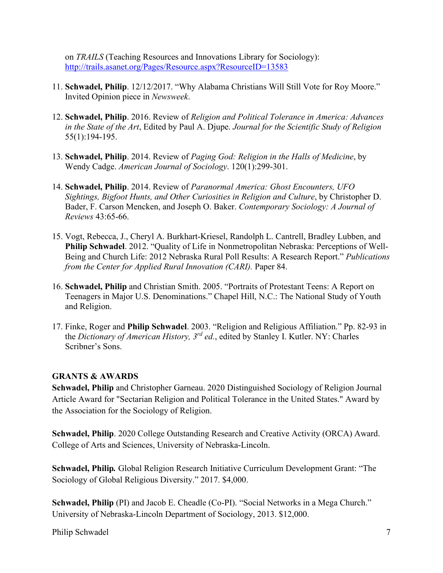on *TRAILS* (Teaching Resources and Innovations Library for Sociology): <http://trails.asanet.org/Pages/Resource.aspx?ResourceID=13583>

- 11. **Schwadel, Philip**. 12/12/2017. "Why Alabama Christians Will Still Vote for Roy Moore." Invited Opinion piece in *Newsweek*.
- 12. **Schwadel, Philip**. 2016. Review of *Religion and Political Tolerance in America: Advances in the State of the Art*, Edited by Paul A. Djupe. *Journal for the Scientific Study of Religion* 55(1):194-195.
- 13. **Schwadel, Philip**. 2014. Review of *Paging God: Religion in the Halls of Medicine*, by Wendy Cadge. *American Journal of Sociology*. 120(1):299-301.
- 14. **Schwadel, Philip**. 2014. Review of *Paranormal America: Ghost Encounters, UFO Sightings, Bigfoot Hunts, and Other Curiosities in Religion and Culture*, by Christopher D. Bader, F. Carson Mencken, and Joseph O. Baker. *Contemporary Sociology: A Journal of Reviews* 43:65-66.
- 15. Vogt, Rebecca, J., Cheryl A. Burkhart-Kriesel, Randolph L. Cantrell, Bradley Lubben, and **Philip Schwadel**. 2012. "Quality of Life in Nonmetropolitan Nebraska: Perceptions of Well-Being and Church Life: 2012 Nebraska Rural Poll Results: A Research Report." *Publications from the Center for Applied Rural Innovation (CARI).* Paper 84.
- 16. **Schwadel, Philip** and Christian Smith. 2005. "Portraits of Protestant Teens: A Report on Teenagers in Major U.S. Denominations." Chapel Hill, N.C.: The National Study of Youth and Religion.
- 17. Finke, Roger and **Philip Schwadel**. 2003. "Religion and Religious Affiliation." Pp. 82-93 in the *Dictionary of American History, 3rd ed.*, edited by Stanley I. Kutler. NY: Charles Scribner's Sons.

### **GRANTS & AWARDS**

**Schwadel, Philip** and Christopher Garneau. 2020 Distinguished Sociology of Religion Journal Article Award for "Sectarian Religion and Political Tolerance in the United States." Award by the Association for the Sociology of Religion.

**Schwadel, Philip**. 2020 College Outstanding Research and Creative Activity (ORCA) Award. College of Arts and Sciences, University of Nebraska-Lincoln.

**Schwadel, Philip***.* Global Religion Research Initiative Curriculum Development Grant: "The Sociology of Global Religious Diversity." 2017. \$4,000.

**Schwadel, Philip** (PI) and Jacob E. Cheadle (Co-PI). "Social Networks in a Mega Church." University of Nebraska-Lincoln Department of Sociology, 2013. \$12,000.

Philip Schwadel 7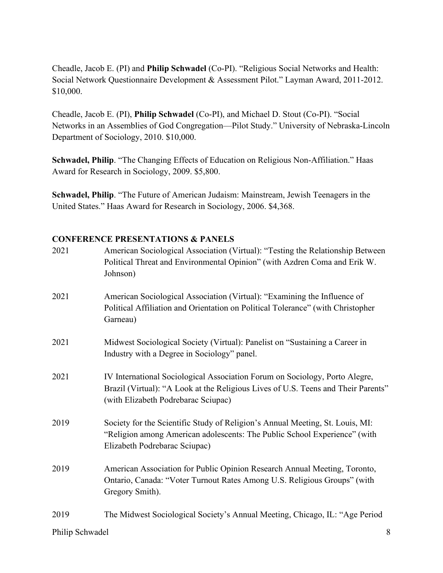Cheadle, Jacob E. (PI) and **Philip Schwadel** (Co-PI). "Religious Social Networks and Health: Social Network Questionnaire Development & Assessment Pilot." Layman Award, 2011-2012. \$10,000.

Cheadle, Jacob E. (PI), **Philip Schwadel** (Co-PI), and Michael D. Stout (Co-PI). "Social Networks in an Assemblies of God Congregation—Pilot Study." University of Nebraska-Lincoln Department of Sociology, 2010. \$10,000.

**Schwadel, Philip**. "The Changing Effects of Education on Religious Non-Affiliation." Haas Award for Research in Sociology, 2009. \$5,800.

**Schwadel, Philip**. "The Future of American Judaism: Mainstream, Jewish Teenagers in the United States." Haas Award for Research in Sociology, 2006. \$4,368.

### **CONFERENCE PRESENTATIONS & PANELS**

| 2021 | American Sociological Association (Virtual): "Testing the Relationship Between<br>Political Threat and Environmental Opinion" (with Azdren Coma and Erik W.<br>Johnson)                                 |
|------|---------------------------------------------------------------------------------------------------------------------------------------------------------------------------------------------------------|
| 2021 | American Sociological Association (Virtual): "Examining the Influence of<br>Political Affiliation and Orientation on Political Tolerance" (with Christopher<br>Garneau)                                 |
| 2021 | Midwest Sociological Society (Virtual): Panelist on "Sustaining a Career in<br>Industry with a Degree in Sociology" panel.                                                                              |
| 2021 | IV International Sociological Association Forum on Sociology, Porto Alegre,<br>Brazil (Virtual): "A Look at the Religious Lives of U.S. Teens and Their Parents"<br>(with Elizabeth Podrebarac Sciupac) |
| 2019 | Society for the Scientific Study of Religion's Annual Meeting, St. Louis, MI:<br>"Religion among American adolescents: The Public School Experience" (with<br>Elizabeth Podrebarac Sciupac)             |
| 2019 | American Association for Public Opinion Research Annual Meeting, Toronto,<br>Ontario, Canada: "Voter Turnout Rates Among U.S. Religious Groups" (with<br>Gregory Smith).                                |
| 2019 | The Midwest Sociological Society's Annual Meeting, Chicago, IL: "Age Period                                                                                                                             |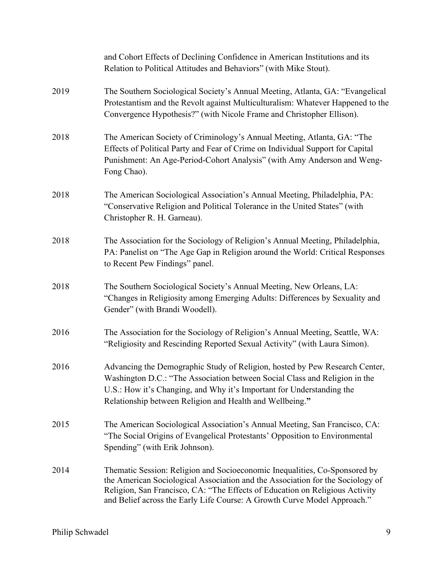|      | and Cohort Effects of Declining Confidence in American Institutions and its<br>Relation to Political Attitudes and Behaviors" (with Mike Stout).                                                                                                                                                                         |
|------|--------------------------------------------------------------------------------------------------------------------------------------------------------------------------------------------------------------------------------------------------------------------------------------------------------------------------|
| 2019 | The Southern Sociological Society's Annual Meeting, Atlanta, GA: "Evangelical<br>Protestantism and the Revolt against Multiculturalism: Whatever Happened to the<br>Convergence Hypothesis?" (with Nicole Frame and Christopher Ellison).                                                                                |
| 2018 | The American Society of Criminology's Annual Meeting, Atlanta, GA: "The<br>Effects of Political Party and Fear of Crime on Individual Support for Capital<br>Punishment: An Age-Period-Cohort Analysis" (with Amy Anderson and Weng-<br>Fong Chao).                                                                      |
| 2018 | The American Sociological Association's Annual Meeting, Philadelphia, PA:<br>"Conservative Religion and Political Tolerance in the United States" (with<br>Christopher R. H. Garneau).                                                                                                                                   |
| 2018 | The Association for the Sociology of Religion's Annual Meeting, Philadelphia,<br>PA: Panelist on "The Age Gap in Religion around the World: Critical Responses<br>to Recent Pew Findings" panel.                                                                                                                         |
| 2018 | The Southern Sociological Society's Annual Meeting, New Orleans, LA:<br>"Changes in Religiosity among Emerging Adults: Differences by Sexuality and<br>Gender" (with Brandi Woodell).                                                                                                                                    |
| 2016 | The Association for the Sociology of Religion's Annual Meeting, Seattle, WA:<br>"Religiosity and Rescinding Reported Sexual Activity" (with Laura Simon).                                                                                                                                                                |
| 2016 | Advancing the Demographic Study of Religion, hosted by Pew Research Center,<br>Washington D.C.: "The Association between Social Class and Religion in the<br>U.S.: How it's Changing, and Why it's Important for Understanding the<br>Relationship between Religion and Health and Wellbeing."                           |
| 2015 | The American Sociological Association's Annual Meeting, San Francisco, CA:<br>"The Social Origins of Evangelical Protestants' Opposition to Environmental<br>Spending" (with Erik Johnson).                                                                                                                              |
| 2014 | Thematic Session: Religion and Socioeconomic Inequalities, Co-Sponsored by<br>the American Sociological Association and the Association for the Sociology of<br>Religion, San Francisco, CA: "The Effects of Education on Religious Activity<br>and Belief across the Early Life Course: A Growth Curve Model Approach." |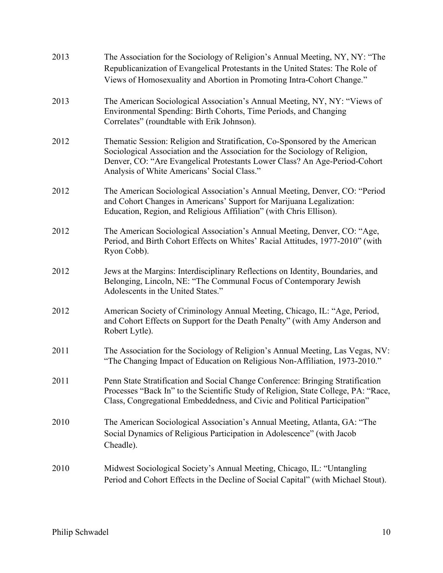| 2013 | The Association for the Sociology of Religion's Annual Meeting, NY, NY: "The<br>Republicanization of Evangelical Protestants in the United States: The Role of<br>Views of Homosexuality and Abortion in Promoting Intra-Cohort Change."                                                |
|------|-----------------------------------------------------------------------------------------------------------------------------------------------------------------------------------------------------------------------------------------------------------------------------------------|
| 2013 | The American Sociological Association's Annual Meeting, NY, NY: "Views of<br>Environmental Spending: Birth Cohorts, Time Periods, and Changing<br>Correlates" (roundtable with Erik Johnson).                                                                                           |
| 2012 | Thematic Session: Religion and Stratification, Co-Sponsored by the American<br>Sociological Association and the Association for the Sociology of Religion,<br>Denver, CO: "Are Evangelical Protestants Lower Class? An Age-Period-Cohort<br>Analysis of White Americans' Social Class." |
| 2012 | The American Sociological Association's Annual Meeting, Denver, CO: "Period<br>and Cohort Changes in Americans' Support for Marijuana Legalization:<br>Education, Region, and Religious Affiliation" (with Chris Ellison).                                                              |
| 2012 | The American Sociological Association's Annual Meeting, Denver, CO: "Age,<br>Period, and Birth Cohort Effects on Whites' Racial Attitudes, 1977-2010" (with<br>Ryon Cobb).                                                                                                              |
| 2012 | Jews at the Margins: Interdisciplinary Reflections on Identity, Boundaries, and<br>Belonging, Lincoln, NE: "The Communal Focus of Contemporary Jewish<br>Adolescents in the United States."                                                                                             |
| 2012 | American Society of Criminology Annual Meeting, Chicago, IL: "Age, Period,<br>and Cohort Effects on Support for the Death Penalty" (with Amy Anderson and<br>Robert Lytle).                                                                                                             |
| 2011 | The Association for the Sociology of Religion's Annual Meeting, Las Vegas, NV:<br>"The Changing Impact of Education on Religious Non-Affiliation, 1973-2010."                                                                                                                           |
| 2011 | Penn State Stratification and Social Change Conference: Bringing Stratification<br>Processes "Back In" to the Scientific Study of Religion, State College, PA: "Race,<br>Class, Congregational Embeddedness, and Civic and Political Participation"                                     |
| 2010 | The American Sociological Association's Annual Meeting, Atlanta, GA: "The<br>Social Dynamics of Religious Participation in Adolescence" (with Jacob<br>Cheadle).                                                                                                                        |
| 2010 | Midwest Sociological Society's Annual Meeting, Chicago, IL: "Untangling<br>Period and Cohort Effects in the Decline of Social Capital" (with Michael Stout).                                                                                                                            |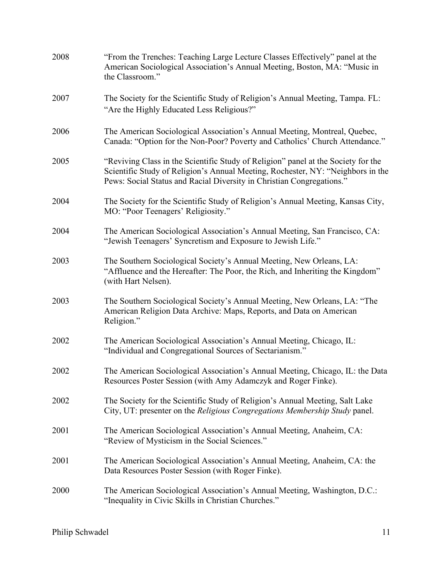| 2008 | "From the Trenches: Teaching Large Lecture Classes Effectively" panel at the<br>American Sociological Association's Annual Meeting, Boston, MA: "Music in<br>the Classroom."                                                                  |
|------|-----------------------------------------------------------------------------------------------------------------------------------------------------------------------------------------------------------------------------------------------|
| 2007 | The Society for the Scientific Study of Religion's Annual Meeting, Tampa. FL:<br>"Are the Highly Educated Less Religious?"                                                                                                                    |
| 2006 | The American Sociological Association's Annual Meeting, Montreal, Quebec,<br>Canada: "Option for the Non-Poor? Poverty and Catholics' Church Attendance."                                                                                     |
| 2005 | "Reviving Class in the Scientific Study of Religion" panel at the Society for the<br>Scientific Study of Religion's Annual Meeting, Rochester, NY: "Neighbors in the<br>Pews: Social Status and Racial Diversity in Christian Congregations." |
| 2004 | The Society for the Scientific Study of Religion's Annual Meeting, Kansas City,<br>MO: "Poor Teenagers' Religiosity."                                                                                                                         |
| 2004 | The American Sociological Association's Annual Meeting, San Francisco, CA:<br>"Jewish Teenagers' Syncretism and Exposure to Jewish Life."                                                                                                     |
| 2003 | The Southern Sociological Society's Annual Meeting, New Orleans, LA:<br>"Affluence and the Hereafter: The Poor, the Rich, and Inheriting the Kingdom"<br>(with Hart Nelsen).                                                                  |
| 2003 | The Southern Sociological Society's Annual Meeting, New Orleans, LA: "The<br>American Religion Data Archive: Maps, Reports, and Data on American<br>Religion."                                                                                |
| 2002 | The American Sociological Association's Annual Meeting, Chicago, IL:<br>"Individual and Congregational Sources of Sectarianism."                                                                                                              |
| 2002 | The American Sociological Association's Annual Meeting, Chicago, IL: the Data<br>Resources Poster Session (with Amy Adamczyk and Roger Finke).                                                                                                |
| 2002 | The Society for the Scientific Study of Religion's Annual Meeting, Salt Lake<br>City, UT: presenter on the Religious Congregations Membership Study panel.                                                                                    |
| 2001 | The American Sociological Association's Annual Meeting, Anaheim, CA:<br>"Review of Mysticism in the Social Sciences."                                                                                                                         |
| 2001 | The American Sociological Association's Annual Meeting, Anaheim, CA: the<br>Data Resources Poster Session (with Roger Finke).                                                                                                                 |
| 2000 | The American Sociological Association's Annual Meeting, Washington, D.C.:<br>"Inequality in Civic Skills in Christian Churches."                                                                                                              |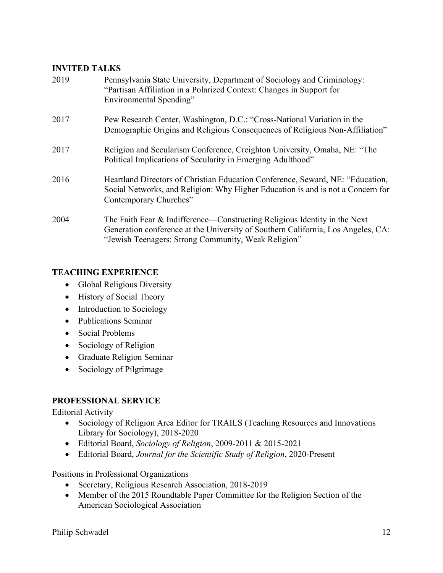## **INVITED TALKS**

| 2019 | Pennsylvania State University, Department of Sociology and Criminology:<br>"Partisan Affiliation in a Polarized Context: Changes in Support for<br>Environmental Spending"                                           |
|------|----------------------------------------------------------------------------------------------------------------------------------------------------------------------------------------------------------------------|
| 2017 | Pew Research Center, Washington, D.C.: "Cross-National Variation in the<br>Demographic Origins and Religious Consequences of Religious Non-Affiliation"                                                              |
| 2017 | Religion and Secularism Conference, Creighton University, Omaha, NE: "The<br>Political Implications of Secularity in Emerging Adulthood"                                                                             |
| 2016 | Heartland Directors of Christian Education Conference, Seward, NE: "Education,<br>Social Networks, and Religion: Why Higher Education is and is not a Concern for<br>Contemporary Churches"                          |
| 2004 | The Faith Fear & Indifference—Constructing Religious Identity in the Next<br>Generation conference at the University of Southern California, Los Angeles, CA:<br>"Jewish Teenagers: Strong Community, Weak Religion" |

## **TEACHING EXPERIENCE**

- Global Religious Diversity
- History of Social Theory
- Introduction to Sociology
- Publications Seminar
- Social Problems
- Sociology of Religion
- Graduate Religion Seminar
- Sociology of Pilgrimage

## **PROFESSIONAL SERVICE**

Editorial Activity

- Sociology of Religion Area Editor for TRAILS (Teaching Resources and Innovations Library for Sociology), 2018-2020
- Editorial Board, *Sociology of Religion*, 2009-2011 & 2015-2021
- Editorial Board, *Journal for the Scientific Study of Religion*, 2020-Present

Positions in Professional Organizations

- Secretary, Religious Research Association, 2018-2019
- Member of the 2015 Roundtable Paper Committee for the Religion Section of the American Sociological Association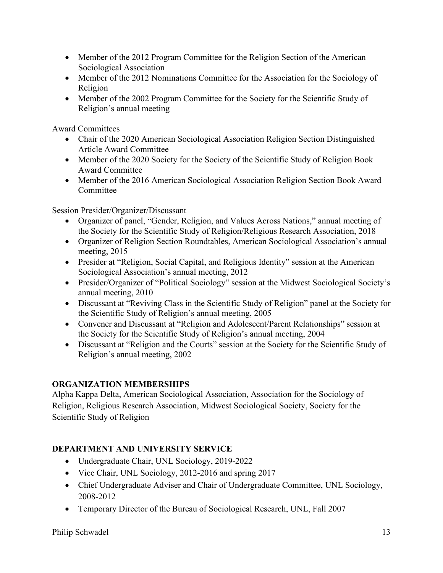- Member of the 2012 Program Committee for the Religion Section of the American Sociological Association
- Member of the 2012 Nominations Committee for the Association for the Sociology of Religion
- Member of the 2002 Program Committee for the Society for the Scientific Study of Religion's annual meeting

Award Committees

- Chair of the 2020 American Sociological Association Religion Section Distinguished Article Award Committee
- Member of the 2020 Society for the Society of the Scientific Study of Religion Book Award Committee
- Member of the 2016 American Sociological Association Religion Section Book Award Committee

Session Presider/Organizer/Discussant

- Organizer of panel, "Gender, Religion, and Values Across Nations," annual meeting of the Society for the Scientific Study of Religion/Religious Research Association, 2018
- Organizer of Religion Section Roundtables, American Sociological Association's annual meeting, 2015
- Presider at "Religion, Social Capital, and Religious Identity" session at the American Sociological Association's annual meeting, 2012
- Presider/Organizer of "Political Sociology" session at the Midwest Sociological Society's annual meeting, 2010
- Discussant at "Reviving Class in the Scientific Study of Religion" panel at the Society for the Scientific Study of Religion's annual meeting, 2005
- Convener and Discussant at "Religion and Adolescent/Parent Relationships" session at the Society for the Scientific Study of Religion's annual meeting, 2004
- Discussant at "Religion and the Courts" session at the Society for the Scientific Study of Religion's annual meeting, 2002

# **ORGANIZATION MEMBERSHIPS**

Alpha Kappa Delta, American Sociological Association, Association for the Sociology of Religion, Religious Research Association, Midwest Sociological Society, Society for the Scientific Study of Religion

# **DEPARTMENT AND UNIVERSITY SERVICE**

- Undergraduate Chair, UNL Sociology, 2019-2022
- Vice Chair, UNL Sociology, 2012-2016 and spring 2017
- Chief Undergraduate Adviser and Chair of Undergraduate Committee, UNL Sociology, 2008-2012
- Temporary Director of the Bureau of Sociological Research, UNL, Fall 2007